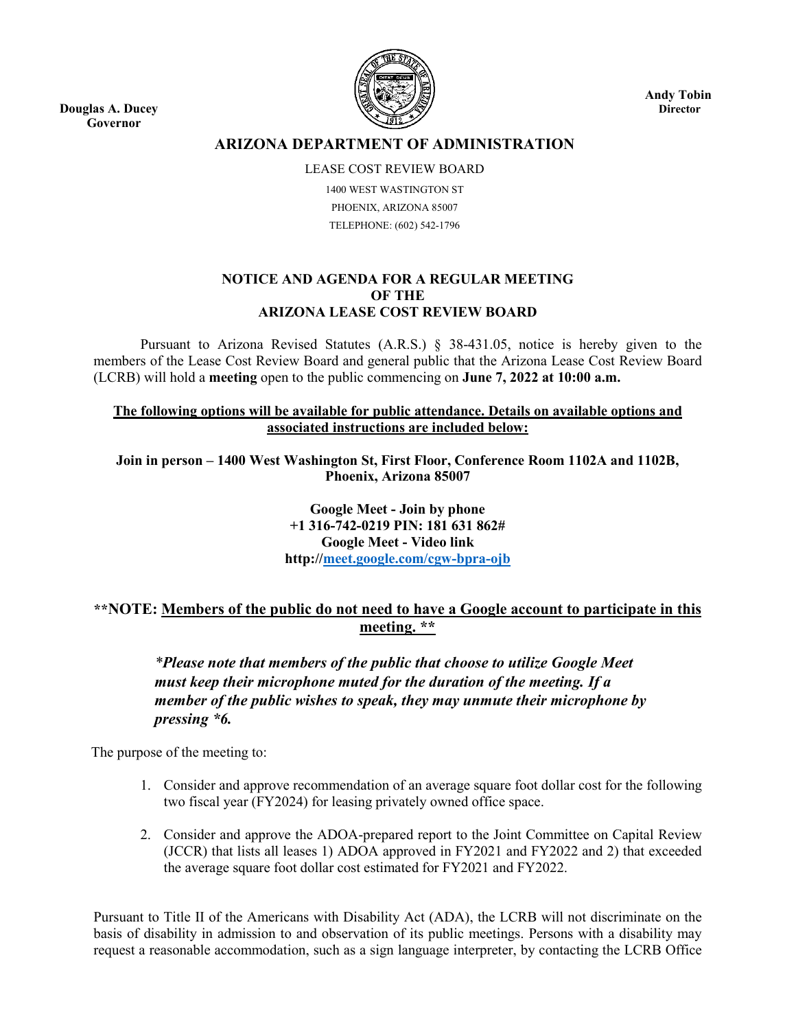**Douglas A. Ducey Governor**



**Andy Tobin Director**

# **ARIZONA DEPARTMENT OF ADMINISTRATION**

LEASE COST REVIEW BOARD 1400 WEST WASTINGTON ST PHOENIX, ARIZONA 85007 TELEPHONE: (602) 542-1796

### **NOTICE AND AGENDA FOR A REGULAR MEETING OF THE ARIZONA LEASE COST REVIEW BOARD**

Pursuant to Arizona Revised Statutes (A.R.S.) § 38-431.05, notice is hereby given to the members of the Lease Cost Review Board and general public that the Arizona Lease Cost Review Board (LCRB) will hold a **meeting** open to the public commencing on **June 7, 2022 at 10:00 a.m.**

### **The following options will be available for public attendance. Details on available options and associated instructions are included below:**

**Join in person – 1400 West Washington St, First Floor, Conference Room 1102A and 1102B, Phoenix, Arizona 85007**

> **Google Meet - Join by phone +1 316-742-0219 PIN: 181 631 862# Google Meet - Video link http:/[/meet.google.com/cgw-bpra-ojb](https://meet.google.com/cgw-bpra-ojb?hs=122&authuser=0)**

# **\*\*NOTE: Members of the public do not need to have a Google account to participate in this meeting. \*\***

*\*Please note that members of the public that choose to utilize Google Meet must keep their microphone muted for the duration of the meeting. If a member of the public wishes to speak, they may unmute their microphone by pressing \*6.*

The purpose of the meeting to:

- 1. Consider and approve recommendation of an average square foot dollar cost for the following two fiscal year (FY2024) for leasing privately owned office space.
- 2. Consider and approve the ADOA-prepared report to the Joint Committee on Capital Review (JCCR) that lists all leases 1) ADOA approved in FY2021 and FY2022 and 2) that exceeded the average square foot dollar cost estimated for FY2021 and FY2022.

Pursuant to Title II of the Americans with Disability Act (ADA), the LCRB will not discriminate on the basis of disability in admission to and observation of its public meetings. Persons with a disability may request a reasonable accommodation, such as a sign language interpreter, by contacting the LCRB Office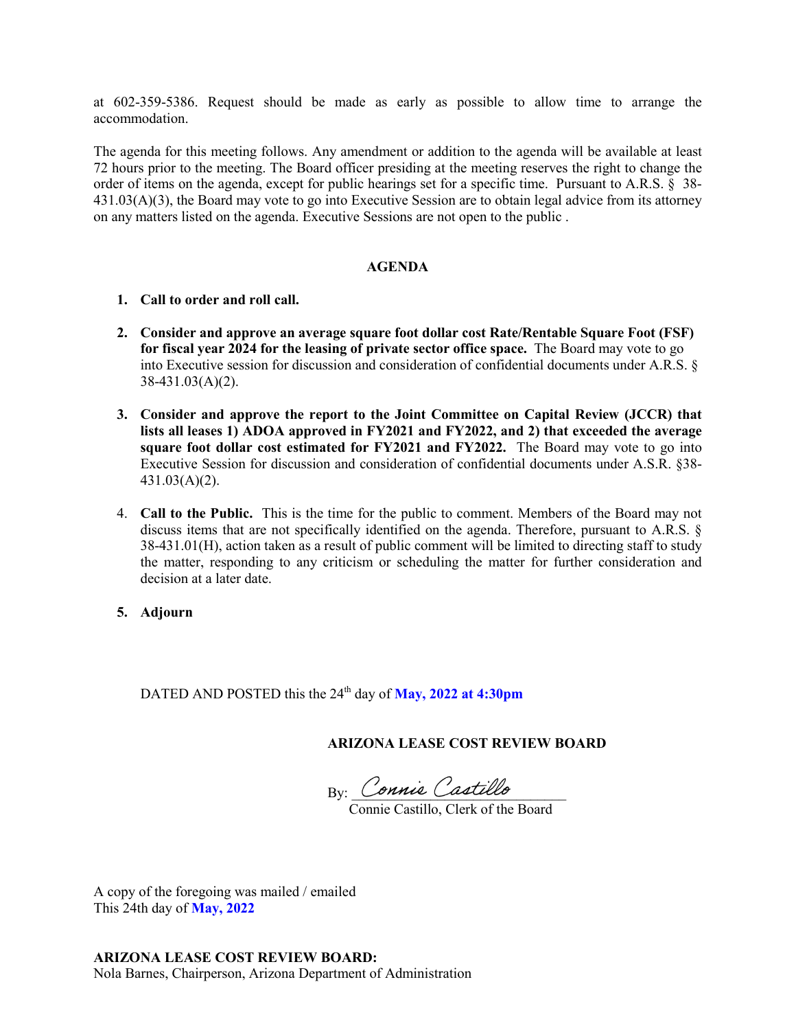at 602-359-5386. Request should be made as early as possible to allow time to arrange the accommodation.

The agenda for this meeting follows. Any amendment or addition to the agenda will be available at least 72 hours prior to the meeting. The Board officer presiding at the meeting reserves the right to change the order of items on the agenda, except for public hearings set for a specific time. Pursuant to A.R.S. § 38- 431.03(A)(3), the Board may vote to go into Executive Session are to obtain legal advice from its attorney on any matters listed on the agenda. Executive Sessions are not open to the public .

#### **AGENDA**

- **1. Call to order and roll call.**
- **2. Consider and approve an average square foot dollar cost Rate/Rentable Square Foot (FSF) for fiscal year 2024 for the leasing of private sector office space.** The Board may vote to go into Executive session for discussion and consideration of confidential documents under A.R.S. § 38-431.03(A)(2).
- **3. Consider and approve the report to the Joint Committee on Capital Review (JCCR) that lists all leases 1) ADOA approved in FY2021 and FY2022, and 2) that exceeded the average square foot dollar cost estimated for FY2021 and FY2022.** The Board may vote to go into Executive Session for discussion and consideration of confidential documents under A.S.R. §38- 431.03(A)(2).
- 4. **Call to the Public.** This is the time for the public to comment. Members of the Board may not discuss items that are not specifically identified on the agenda. Therefore, pursuant to A.R.S. § 38-431.01(H), action taken as a result of public comment will be limited to directing staff to study the matter, responding to any criticism or scheduling the matter for further consideration and decision at a later date.
- **5. Adjourn**

DATED AND POSTED this the 24<sup>th</sup> day of **May, 2022 at 4:30pm** 

**ARIZONA LEASE COST REVIEW BOARD**

 $\mathrm{By:}$  Connie Castillo

Connie Castillo, Clerk of the Board

A copy of the foregoing was mailed / emailed This 24th day of **May, 2022**